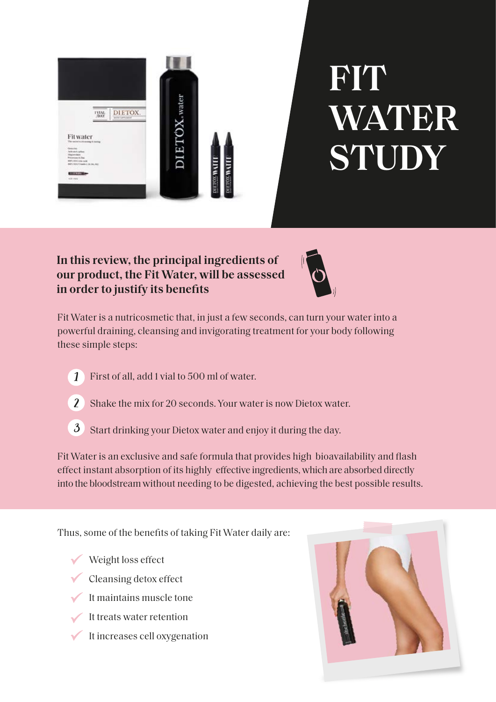

# **FIT WATER STUDY**

## **In this review, the principal ingredients of our product, the Fit Water, will be assessed in order to justify its benefits**



Fit Water is a nutricosmetic that, in just a few seconds, can turn your water into a powerful draining, cleansing and invigorating treatment for your body following these simple steps:

- First of all, add 1 vial to 500 ml of water. 1
- Shake the mix for 20 seconds. Your water is now Dietox water. 2
- Start drinking your Dietox water and enjoy it during the day. 3

Fit Water is an exclusive and safe formula that provides high bioavailability and flash effect instant absorption of its highly effective ingredients, which are absorbed directly into the bloodstream without needing to be digested, achieving the best possible results.

Thus, some of the benefits of taking Fit Water daily are:

- Weight loss effect
- Cleansing detox effect
- It maintains muscle tone
- It treats water retention
- It increases cell oxygenation

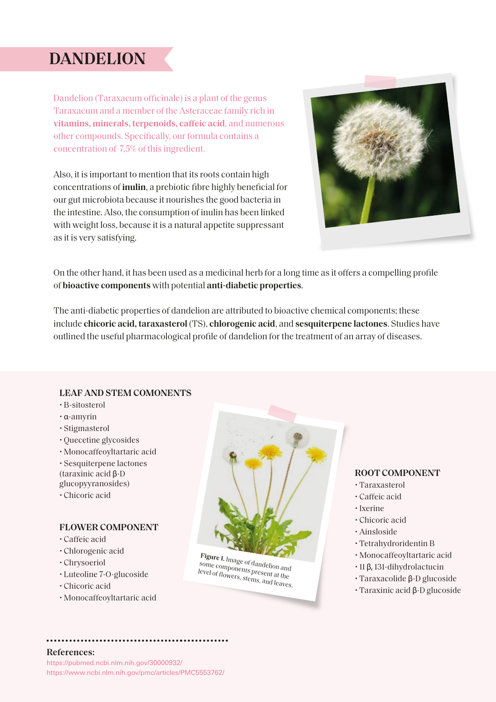## **DANDELION**

Dandelion (Taraxacum officinale) is a plant of the genus Taraxacum and a member of the Asteraceae family rich in **vitamins, minerals, terpenoids, caffeic acid**, and numerous other compounds. Specifically, our formula contains a concentration of 7,5% of this ingredient.

Also, it is important to mention that its roots contain high concentrations of **inulin**, a prebiotic fibre highly beneficial for our gut microbiota because it nourishes the good bacteria in the intestine. Also, the consumption of inulin has been linked with weight loss, because it is a natural appetite suppressant as it is very satisfying.



On the other hand, it has been used as a medicinal herb for a long time as it offers a compelling profile of **bioactive components** with potential **anti-diabetic properties**.

The anti-diabetic properties of dandelion are attributed to bioactive chemical components; these include **chicoric acid, taraxasterol** (TS), **chlorogenic acid**, and **sesquiterpene lactones**. Studies have outlined the useful pharmacological profile of dandelion for the treatment of an array of diseases.

#### **LEAF AND STEM COMONENTS**

- B-sitosterol
- α-amyrin
- Stigmasterol
- Quecetine glycosides
- Monocaffeoyltartaric acid
- Sesquiterpene lactones

(taraxinic acid β-D glucopyyranosides)

- 
- Chicoric acid

#### **FLOWER COMPONENT**

- Caffeic acid
- Chlorogenic acid
- Chrysoeriol
- Luteoline 7-O-glucoside
- Chicoric acid
- Monocaffeoyltartaric acid



**Figure 1.** Image of dandelion and some components present at the level of flowers, stems, and leaves.

#### **ROOT COMPONENT**

- Taraxasterol
- Caffeic acid
- Ixerine
- Chicoric acid
- Ainsloside
- Tetrahydroridentin B
- Monocaffeoyltartaric acid
- 11 β, 131-dihydrolactucin
- Taraxacolide β-D glucoside
- Taraxinic acid β-D glucoside

### **References:**

https://pubmed.ncbi.nlm.nih.gov/30000932/ https://www.ncbi.nlm.nih.gov/pmc/articles/PMC5553762/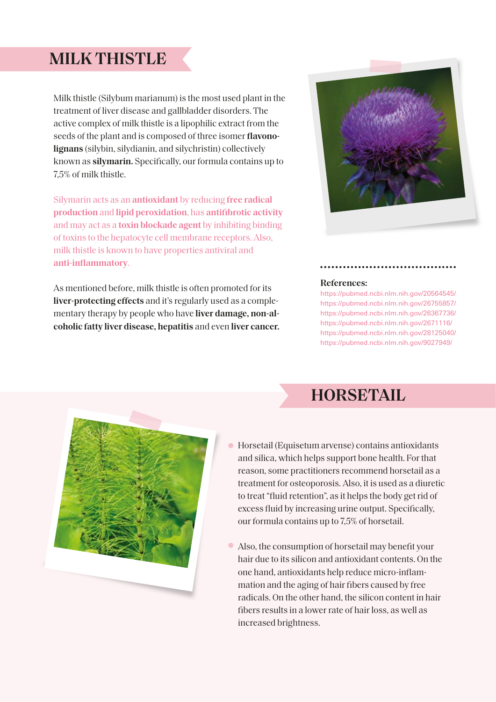## **MILK THISTLE**

Milk thistle (Silybum marianum) is the most used plant in the treatment of liver disease and gallbladder disorders. The active complex of milk thistle is a lipophilic extract from the seeds of the plant and is composed of three isomer **flavonolignans** (silybin, silydianin, and silychristin) collectively known as **silymarin.** Specifically, our formula contains up to 7,5% of milk thistle.

Silymarin acts as an **antioxidant** by reducing **free radical production** and **lipid peroxidation**, has **antifibrotic activity**  and may act as a **toxin blockade agent** by inhibiting binding of toxins to the hepatocyte cell membrane receptors. Also, milk thistle is known to have properties antiviral and **anti-inflammatory**.

As mentioned before, milk thistle is often promoted for its **liver-protecting effects** and it's regularly used as a complementary therapy by people who have **liver damage, non-alcoholic fatty liver disease, hepatitis** and even **liver cancer.**



#### **References:**

https://pubmed.ncbi.nlm.nih.gov/20564545/ https://pubmed.ncbi.nlm.nih.gov/26755857/ https://pubmed.ncbi.nlm.nih.gov/26367736/ https://pubmed.ncbi.nlm.nih.gov/2671116/ https://pubmed.ncbi.nlm.nih.gov/28125040/ https://pubmed.ncbi.nlm.nih.gov/9027949/





- Horsetail (Equisetum arvense) contains antioxidants and silica, which helps support bone health. For that reason, some practitioners recommend horsetail as a treatment for osteoporosis. Also, it is used as a diuretic to treat "fluid retention", as it helps the body get rid of excess fluid by increasing urine output. Specifically, our formula contains up to 7,5% of horsetail.
- Also, the consumption of horsetail may benefit your  $\bullet$ hair due to its silicon and antioxidant contents. On the one hand, antioxidants help reduce micro-inflammation and the aging of hair fibers caused by free radicals. On the other hand, the silicon content in hair fibers results in a lower rate of hair loss, as well as increased brightness.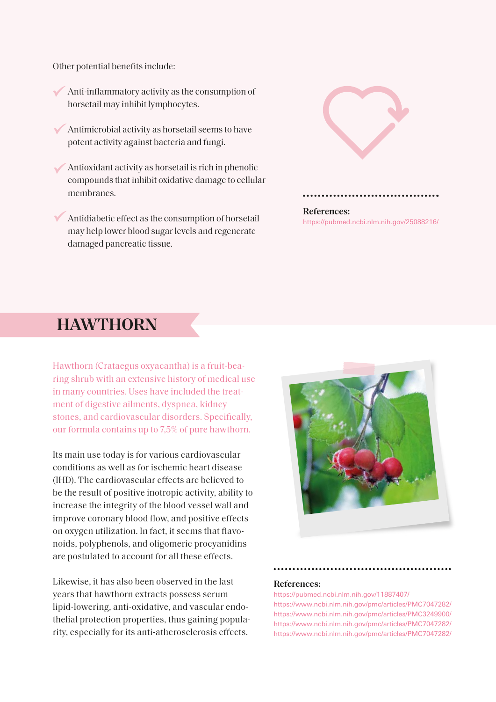Other potential benefits include:

- Anti-inflammatory activity as the consumption of horsetail may inhibit lymphocytes.
- Antimicrobial activity as horsetail seems to have potent activity against bacteria and fungi.
- Antioxidant activity as horsetail is rich in phenolic compounds that inhibit oxidative damage to cellular membranes.
- Antidiabetic effect as the consumption of horsetail may help lower blood sugar levels and regenerate damaged pancreatic tissue.





**References:** https://pubmed.ncbi.nlm.nih.gov/25088216/

## **HAWTHORN**

Hawthorn (Crataegus oxyacantha) is a fruit-bearing shrub with an extensive history of medical use in many countries. Uses have included the treatment of digestive ailments, dyspnea, kidney stones, and cardiovascular disorders. Specifically, our formula contains up to 7,5% of pure hawthorn.

Its main use today is for various cardiovascular conditions as well as for ischemic heart disease (IHD). The cardiovascular effects are believed to be the result of positive inotropic activity, ability to increase the integrity of the blood vessel wall and improve coronary blood flow, and positive effects on oxygen utilization. In fact, it seems that flavonoids, polyphenols, and oligomeric procyanidins are postulated to account for all these effects.

Likewise, it has also been observed in the last years that hawthorn extracts possess serum lipid-lowering, anti-oxidative, and vascular endothelial protection properties, thus gaining popularity, especially for its anti-atherosclerosis effects.



#### **References:**

https://pubmed.ncbi.nlm.nih.gov/11887407/ https://www.ncbi.nlm.nih.gov/pmc/articles/PMC7047282/ https://www.ncbi.nlm.nih.gov/pmc/articles/PMC3249900/ https://www.ncbi.nlm.nih.gov/pmc/articles/PMC7047282/ https://www.ncbi.nlm.nih.gov/pmc/articles/PMC7047282/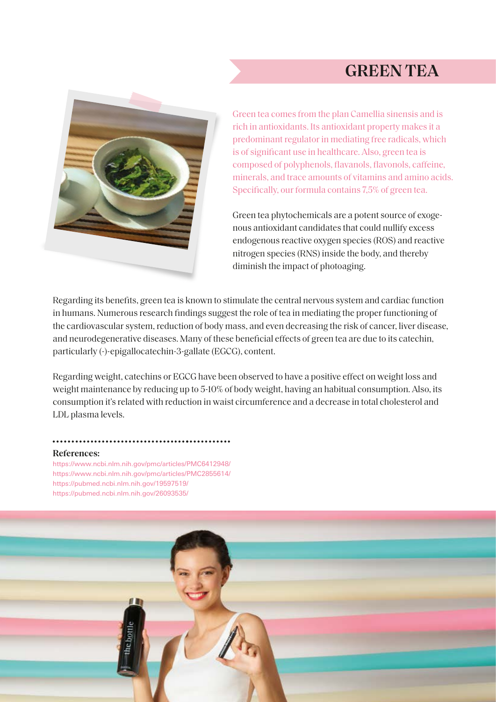## **GREEN TEA**



Green tea comes from the plan Camellia sinensis and is rich in antioxidants. Its antioxidant property makes it a predominant regulator in mediating free radicals, which is of significant use in healthcare. Also, green tea is composed of polyphenols, flavanols, flavonols, caffeine, minerals, and trace amounts of vitamins and amino acids. Specifically, our formula contains 7,5% of green tea.

Green tea phytochemicals are a potent source of exogenous antioxidant candidates that could nullify excess endogenous reactive oxygen species (ROS) and reactive nitrogen species (RNS) inside the body, and thereby diminish the impact of photoaging.

Regarding its benefits, green tea is known to stimulate the central nervous system and cardiac function in humans. Numerous research findings suggest the role of tea in mediating the proper functioning of the cardiovascular system, reduction of body mass, and even decreasing the risk of cancer, liver disease, and neurodegenerative diseases. Many of these beneficial effects of green tea are due to its catechin, particularly (-)-epigallocatechin-3-gallate (EGCG), content.

Regarding weight, catechins or EGCG have been observed to have a positive effect on weight loss and weight maintenance by reducing up to 5-10% of body weight, having an habitual consumption. Also, its consumption it's related with reduction in waist circumference and a decrease in total cholesterol and LDL plasma levels.

#### **References:**

https://www.ncbi.nlm.nih.gov/pmc/articles/PMC6412948/ https://www.ncbi.nlm.nih.gov/pmc/articles/PMC2855614/ https://pubmed.ncbi.nlm.nih.gov/19597519/ https://pubmed.ncbi.nlm.nih.gov/26093535/